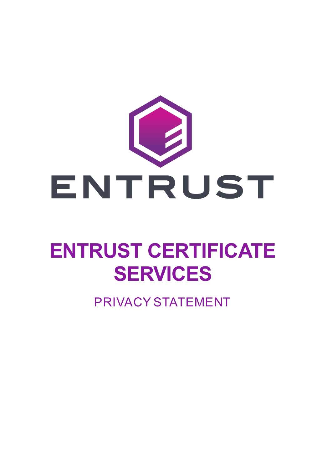

# **ENTRUST CERTIFICATE SERVICES**

PRIVACY STATEMENT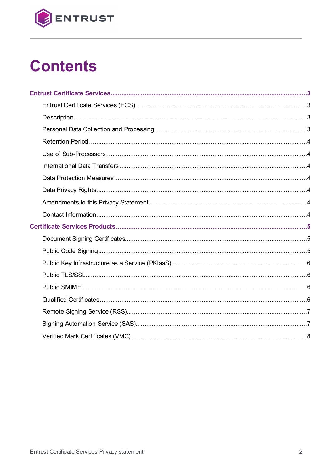

## **Contents**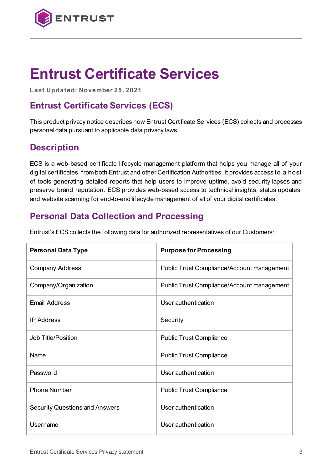

## **Entrust Certificate Services**

**Last Updated: November 25, 2021**

## **Entrust Certificate Services (ECS)**

This product privacy notice describes how Entrust Certificate Services (ECS) collects and processes personal data pursuant to applicable data privacy laws.

## **Description**

ECS is a web-based certificate lifecycle management platform that helps you manage all of your digital certificates, from both Entrust and other Certification Authorities. It provides access to a host of tools generating detailed reports that help users to improve uptime, avoid security lapses and preserve brand reputation. ECS provides web-based access to technical insights, status updates, and website scanning for end-to-end lifecycle management of all of your digital certificates.

## **Personal Data Collection and Processing**

|  | Entrust's ECS collects the following data for authorized representatives of our Customers: |  |
|--|--------------------------------------------------------------------------------------------|--|
|  |                                                                                            |  |

| <b>Personal Data Type</b>             | <b>Purpose for Processing</b>              |
|---------------------------------------|--------------------------------------------|
| <b>Company Address</b>                | Public Trust Compliance/Account management |
| Company/Organization                  | Public Trust Compliance/Account management |
| <b>Email Address</b>                  | User authentication                        |
| <b>IP Address</b>                     | Security                                   |
| <b>Job Title/Position</b>             | <b>Public Trust Compliance</b>             |
| Name                                  | <b>Public Trust Compliance</b>             |
| Password                              | User authentication                        |
| <b>Phone Number</b>                   | <b>Public Trust Compliance</b>             |
| <b>Security Questions and Answers</b> | User authentication                        |
| Username                              | User authentication                        |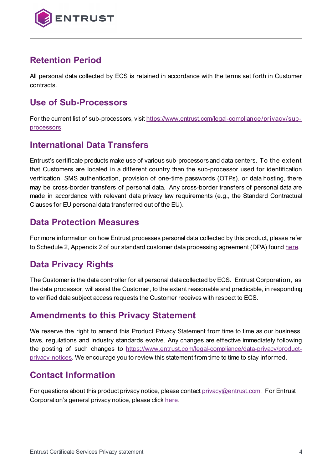

## **Retention Period**

All personal data collected by ECS is retained in accordance with the terms set forth in Customer contracts.

### **Use of Sub-Processors**

For the current list of sub-processors, visit ht[tps://www.entrust.com/legal-compliance/privacy/sub](https://www.entrust.com/legal-compliance/privacy/sub-processors)[processors.](https://www.entrust.com/legal-compliance/privacy/sub-processors)

## **International Data Transfers**

Entrust's certificate products make use of various sub-processors and data centers. To the extent that Customers are located in a different country than the sub-processor used for identification verification, SMS authentication, provision of one-time passwords (OTPs), or data hosting, there may be cross-border transfers of personal data. Any cross-border transfers of personal data are made in accordance with relevant data privacy law requirements (e.g., the Standard Contractual Clauses for EU personal data transferred out of the EU).

### **Data Protection Measures**

For more information on how Entrust processes personal data collected by this product, please refer to Schedule 2, Appendix 2 of our standard customer data processing agreement (DPA) foun[d here.](https://www.entrust.com/-/media/documentation/licensingandagreements/dpa---entrust-acting-as-processor.pdf)

## **Data Privacy Rights**

The Customer is the data controller for all personal data collected by ECS. Entrust Corporation, as the data processor, will assist the Customer, to the extent reasonable and practicable, in responding to verified data subject access requests the Customer receives with respect to ECS.

## **Amendments to this Privacy Statement**

We reserve the right to amend this Product Privacy Statement from time to time as our business, laws, regulations and industry standards evolve. Any changes are effective immediately following the posting of such changes to [https://www.entrust.com/legal-compliance/data-privacy/product](https://www.entrust.com/legal-compliance/data-privacy/product-privacy-notices)[privacy-notices.](https://www.entrust.com/legal-compliance/data-privacy/product-privacy-notices) We encourage you to review this statement from time to time to stay informed.

## **Contact Information**

For questions about this product privacy notice, please contac[t privacy@entrust.com.](mailto:privacy@entrust.com) For Entrust Corporation's general privacy notice, please clic[k here.](https://www.entrust.com/legal-compliance/data-privacy/privacy-statement)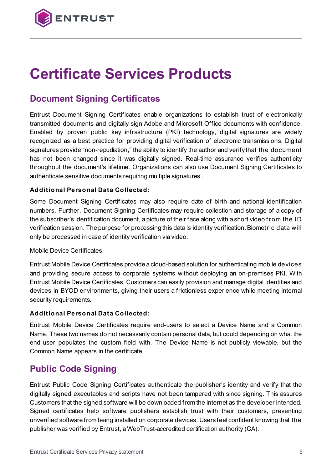

## **Certificate Services Products**

## **Document Signing Certificates**

Entrust Document Signing Certificates enable organizations to establish trust of electronically transmitted documents and digitally sign Adobe and Microsoft Office documents with confidence. Enabled by proven public key infrastructure (PKI) technology, digital signatures are widely recognized as a best practice for providing digital verification of electronic transmissions. Digital signatures provide "non-repudiation," the ability to identify the author and verify that the document has not been changed since it was digitally signed. Real-time assurance verifies authenticity throughout the document's lifetime. Organizations can also use Document Signing Certificates to authenticate sensitive documents requiring multiple signatures .

#### **Additional Personal Data Collected:**

Some Document Signing Certificates may also require date of birth and national identification numbers. Further, Document Signing Certificates may require collection and storage of a copy of the subscriber's identification document, a picture of their face along with a short video from the ID verification session. The purpose for processing this data is identity verification. Biometric data will only be processed in case of identity verification via video.

#### Mobile Device Certificates

Entrust Mobile Device Certificates provide a cloud-based solution for authenticating mobile devices and providing secure access to corporate systems without deploying an on-premises PKI. With Entrust Mobile Device Certificates, Customers can easily provision and manage digital identities and devices in BYOD environments, giving their users a frictionless experience while meeting internal security requirements.

#### **Additional Personal Data Collected:**

Entrust Mobile Device Certificates require end-users to select a Device Name and a Common Name. These two names do not necessarily contain personal data, but could depending on what the end-user populates the custom field with. The Device Name is not publicly viewable, but the Common Name appears in the certificate.

### **Public Code Signing**

Entrust Public Code Signing Certificates authenticate the publisher's identity and verify that the digitally signed executables and scripts have not been tampered with since signing. This assures Customers that the signed software will be downloaded from the internet as the developer intended. Signed certificates help software publishers establish trust with their customers, preventing unverified software from being installed on corporate devices. Users feel confident knowing that the publisher was verified by Entrust, a WebTrust-accredited certification authority (CA).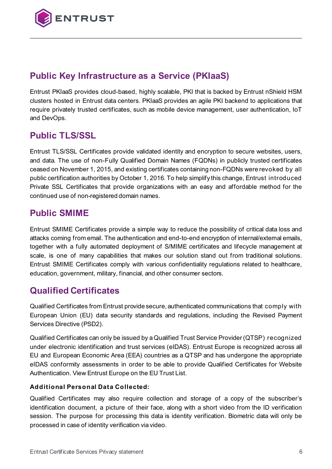

## **Public Key Infrastructure as a Service (PKIaaS)**

Entrust PKIaaS provides cloud-based, highly scalable, PKI that is backed by Entrust nShield HSM clusters hosted in Entrust data centers. PKIaaS provides an agile PKI backend to applications that require privately trusted certificates, such as mobile device management, user authentication, IoT and DevOps.

## **Public TLS/SSL**

Entrust TLS/SSL Certificates provide validated identity and encryption to secure websites, users, and data. The use of non-Fully Qualified Domain Names (FQDNs) in publicly trusted certificates ceased on November 1, 2015, and existing certificates containing non-FQDNs were revoked by all public certification authorities by October 1, 2016. To help simplify this change, Entrust introduced Private SSL Certificates that provide organizations with an easy and affordable method for the continued use of non-registered domain names.

## **Public SMIME**

Entrust SMIME Certificates provide a simple way to reduce the possibility of critical data loss and attacks coming from email. The authentication and end-to-end encryption of internal/external emails, together with a fully automated deployment of S/MIME certificates and lifecycle management at scale, is one of many capabilities that makes our solution stand out from traditional solutions. Entrust SMIME Certificates comply with various confidentiality regulations related to healthcare, education, government, military, financial, and other consumer sectors.

## **Qualified Certificates**

Qualified Certificates from Entrust provide secure, authenticated communications that comply with European Union (EU) data security standards and regulations, including the Revised Payment Services Directive (PSD2).

Qualified Certificates can only be issued by a Qualified Trust Service Provider (QTSP) recognized under electronic identification and trust services (eIDAS). Entrust Europe is recognized across all EU and European Economic Area (EEA) countries as a QTSP and has undergone the appropriate eIDAS conformity assessments in order to be able to provide Qualified Certificates for Website Authentication. View Entrust Europe on the EU Trust List.

#### **Additional Personal Data Collected:**

Qualified Certificates may also require collection and storage of a copy of the subscriber's identification document, a picture of their face, along with a short video from the ID verification session. The purpose for processing this data is identity verification. Biometric data will only be processed in case of identity verification via video.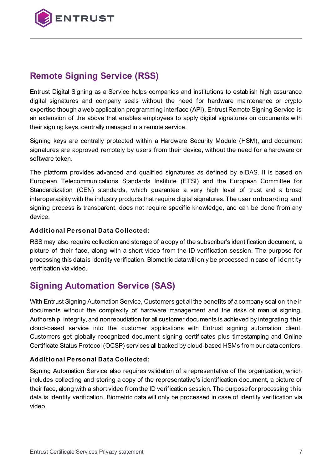

## **Remote Signing Service (RSS)**

Entrust Digital Signing as a Service helps companies and institutions to establish high assurance digital signatures and company seals without the need for hardware maintenance or crypto expertise though a web application programming interface (API). Entrust Remote Signing Service is an extension of the above that enables employees to apply digital signatures on documents with their signing keys, centrally managed in a remote service.

Signing keys are centrally protected within a Hardware Security Module (HSM), and document signatures are approved remotely by users from their device, without the need for a hardware or software token.

The platform provides advanced and qualified signatures as defined by eIDAS. It is based on European Telecommunications Standards Institute (ETSI) and the European Committee for Standardization (CEN) standards, which guarantee a very high level of trust and a broad interoperability with the industry products that require digital signatures. The user onboarding and signing process is transparent, does not require specific knowledge, and can be done from any device.

#### **Additional Personal Data Collected:**

RSS may also require collection and storage of a copy of the subscriber's identification document, a picture of their face, along with a short video from the ID verification session. The purpose for processing this data is identity verification. Biometric data will only be processed in case of identity verification via video.

## **Signing Automation Service (SAS)**

With Entrust Signing Automation Service, Customers get all the benefits of a company seal on their documents without the complexity of hardware management and the risks of manual signing. Authorship, integrity, and nonrepudiation for all customer documents is achieved by integrating this cloud-based service into the customer applications with Entrust signing automation client. Customers get globally recognized document signing certificates plus timestamping and Online Certificate Status Protocol (OCSP) services all backed by cloud-based HSMs from our data centers.

#### **Additional Personal Data Collected:**

Signing Automation Service also requires validation of a representative of the organization, which includes collecting and storing a copy of the representative's identification document, a picture of their face, along with a short video from the ID verification session. The purpose for processing this data is identity verification. Biometric data will only be processed in case of identity verification via video.